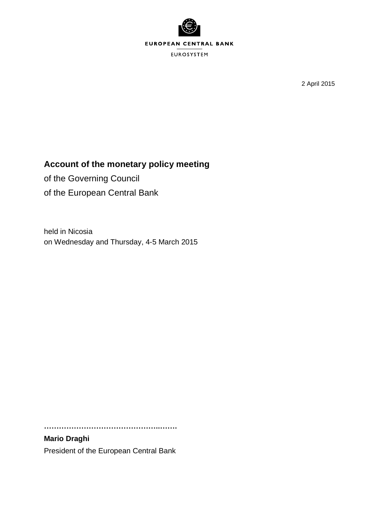

2 April 2015

# **Account of the monetary policy meeting**

of the Governing Council of the European Central Bank

held in Nicosia on Wednesday and Thursday, 4-5 March 2015

**………………………………………..…….**

**Mario Draghi** President of the European Central Bank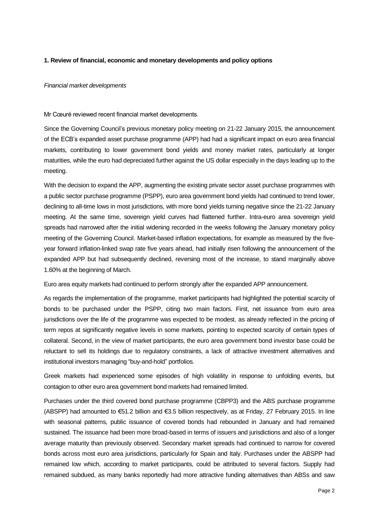# **1. Review of financial, economic and monetary developments and policy options**

## *Financial market developments*

Mr Cœuré reviewed recent financial market developments.

Since the Governing Council's previous monetary policy meeting on 21-22 January 2015, the announcement of the ECB's expanded asset purchase programme (APP) had had a significant impact on euro area financial markets, contributing to lower government bond yields and money market rates, particularly at longer maturities, while the euro had depreciated further against the US dollar especially in the days leading up to the meeting.

With the decision to expand the APP, augmenting the existing private sector asset purchase programmes with a public sector purchase programme (PSPP), euro area government bond yields had continued to trend lower, declining to all-time lows in most jurisdictions, with more bond yields turning negative since the 21-22 January meeting. At the same time, sovereign yield curves had flattened further. Intra-euro area sovereign yield spreads had narrowed after the initial widening recorded in the weeks following the January monetary policy meeting of the Governing Council. Market-based inflation expectations, for example as measured by the fiveyear forward inflation-linked swap rate five years ahead, had initially risen following the announcement of the expanded APP but had subsequently declined, reversing most of the increase, to stand marginally above 1.60% at the beginning of March.

Euro area equity markets had continued to perform strongly after the expanded APP announcement.

As regards the implementation of the programme, market participants had highlighted the potential scarcity of bonds to be purchased under the PSPP, citing two main factors. First, net issuance from euro area jurisdictions over the life of the programme was expected to be modest, as already reflected in the pricing of term repos at significantly negative levels in some markets, pointing to expected scarcity of certain types of collateral. Second, in the view of market participants, the euro area government bond investor base could be reluctant to sell its holdings due to regulatory constraints, a lack of attractive investment alternatives and institutional investors managing "buy-and-hold" portfolios.

Greek markets had experienced some episodes of high volatility in response to unfolding events, but contagion to other euro area government bond markets had remained limited.

Purchases under the third covered bond purchase programme (CBPP3) and the ABS purchase programme (ABSPP) had amounted to €51.2 billion and €3.5 billion respectively, as at Friday, 27 February 2015. In line with seasonal patterns, public issuance of covered bonds had rebounded in January and had remained sustained. The issuance had been more broad-based in terms of issuers and jurisdictions and also of a longer average maturity than previously observed. Secondary market spreads had continued to narrow for covered bonds across most euro area jurisdictions, particularly for Spain and Italy. Purchases under the ABSPP had remained low which, according to market participants, could be attributed to several factors. Supply had remained subdued, as many banks reportedly had more attractive funding alternatives than ABSs and saw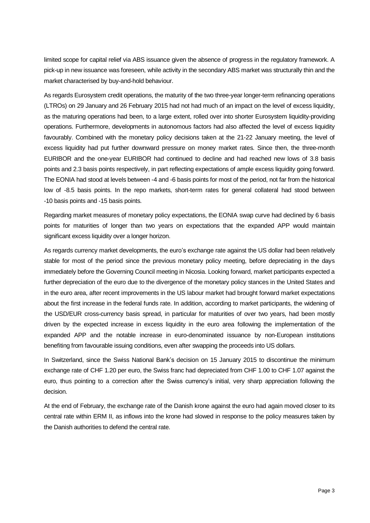limited scope for capital relief via ABS issuance given the absence of progress in the regulatory framework. A pick-up in new issuance was foreseen, while activity in the secondary ABS market was structurally thin and the market characterised by buy-and-hold behaviour.

As regards Eurosystem credit operations, the maturity of the two three-year longer-term refinancing operations (LTROs) on 29 January and 26 February 2015 had not had much of an impact on the level of excess liquidity, as the maturing operations had been, to a large extent, rolled over into shorter Eurosystem liquidity-providing operations. Furthermore, developments in autonomous factors had also affected the level of excess liquidity favourably. Combined with the monetary policy decisions taken at the 21-22 January meeting, the level of excess liquidity had put further downward pressure on money market rates. Since then, the three-month EURIBOR and the one-year EURIBOR had continued to decline and had reached new lows of 3.8 basis points and 2.3 basis points respectively, in part reflecting expectations of ample excess liquidity going forward. The EONIA had stood at levels between -4 and -6 basis points for most of the period, not far from the historical low of -8.5 basis points. In the repo markets, short-term rates for general collateral had stood between -10 basis points and -15 basis points.

Regarding market measures of monetary policy expectations, the EONIA swap curve had declined by 6 basis points for maturities of longer than two years on expectations that the expanded APP would maintain significant excess liquidity over a longer horizon.

As regards currency market developments, the euro's exchange rate against the US dollar had been relatively stable for most of the period since the previous monetary policy meeting, before depreciating in the days immediately before the Governing Council meeting in Nicosia. Looking forward, market participants expected a further depreciation of the euro due to the divergence of the monetary policy stances in the United States and in the euro area, after recent improvements in the US labour market had brought forward market expectations about the first increase in the federal funds rate. In addition, according to market participants, the widening of the USD/EUR cross-currency basis spread, in particular for maturities of over two years, had been mostly driven by the expected increase in excess liquidity in the euro area following the implementation of the expanded APP and the notable increase in euro-denominated issuance by non-European institutions benefiting from favourable issuing conditions, even after swapping the proceeds into US dollars.

In Switzerland, since the Swiss National Bank's decision on 15 January 2015 to discontinue the minimum exchange rate of CHF 1.20 per euro, the Swiss franc had depreciated from CHF 1.00 to CHF 1.07 against the euro, thus pointing to a correction after the Swiss currency's initial, very sharp appreciation following the decision.

At the end of February, the exchange rate of the Danish krone against the euro had again moved closer to its central rate within ERM II, as inflows into the krone had slowed in response to the policy measures taken by the Danish authorities to defend the central rate.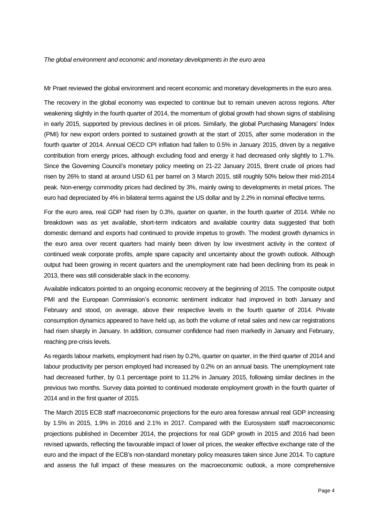*The global environment and economic and monetary developments in the euro area*

Mr Praet reviewed the global environment and recent economic and monetary developments in the euro area.

The recovery in the global economy was expected to continue but to remain uneven across regions. After weakening slightly in the fourth quarter of 2014, the momentum of global growth had shown signs of stabilising in early 2015, supported by previous declines in oil prices. Similarly, the global Purchasing Managers' Index (PMI) for new export orders pointed to sustained growth at the start of 2015, after some moderation in the fourth quarter of 2014. Annual OECD CPI inflation had fallen to 0.5% in January 2015, driven by a negative contribution from energy prices, although excluding food and energy it had decreased only slightly to 1.7%. Since the Governing Council's monetary policy meeting on 21-22 January 2015, Brent crude oil prices had risen by 26% to stand at around USD 61 per barrel on 3 March 2015, still roughly 50% below their mid-2014 peak. Non-energy commodity prices had declined by 3%, mainly owing to developments in metal prices. The euro had depreciated by 4% in bilateral terms against the US dollar and by 2.2% in nominal effective terms.

For the euro area, real GDP had risen by 0.3%, quarter on quarter, in the fourth quarter of 2014. While no breakdown was as yet available, short-term indicators and available country data suggested that both domestic demand and exports had continued to provide impetus to growth. The modest growth dynamics in the euro area over recent quarters had mainly been driven by low investment activity in the context of continued weak corporate profits, ample spare capacity and uncertainty about the growth outlook. Although output had been growing in recent quarters and the unemployment rate had been declining from its peak in 2013, there was still considerable slack in the economy.

Available indicators pointed to an ongoing economic recovery at the beginning of 2015. The composite output PMI and the European Commission's economic sentiment indicator had improved in both January and February and stood, on average, above their respective levels in the fourth quarter of 2014. Private consumption dynamics appeared to have held up, as both the volume of retail sales and new car registrations had risen sharply in January. In addition, consumer confidence had risen markedly in January and February, reaching pre-crisis levels.

As regards labour markets, employment had risen by 0.2%, quarter on quarter, in the third quarter of 2014 and labour productivity per person employed had increased by 0.2% on an annual basis. The unemployment rate had decreased further, by 0.1 percentage point to 11.2% in January 2015, following similar declines in the previous two months. Survey data pointed to continued moderate employment growth in the fourth quarter of 2014 and in the first quarter of 2015.

The March 2015 ECB staff macroeconomic projections for the euro area foresaw annual real GDP increasing by 1.5% in 2015, 1.9% in 2016 and 2.1% in 2017. Compared with the Eurosystem staff macroeconomic projections published in December 2014, the projections for real GDP growth in 2015 and 2016 had been revised upwards, reflecting the favourable impact of lower oil prices, the weaker effective exchange rate of the euro and the impact of the ECB's non-standard monetary policy measures taken since June 2014. To capture and assess the full impact of these measures on the macroeconomic outlook, a more comprehensive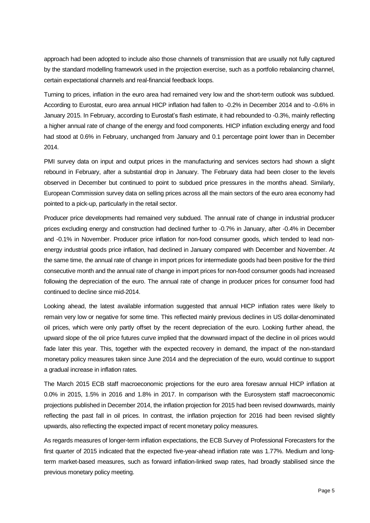approach had been adopted to include also those channels of transmission that are usually not fully captured by the standard modelling framework used in the projection exercise, such as a portfolio rebalancing channel, certain expectational channels and real-financial feedback loops.

Turning to prices, inflation in the euro area had remained very low and the short-term outlook was subdued. According to Eurostat, euro area annual HICP inflation had fallen to -0.2% in December 2014 and to -0.6% in January 2015. In February, according to Eurostat's flash estimate, it had rebounded to -0.3%, mainly reflecting a higher annual rate of change of the energy and food components. HICP inflation excluding energy and food had stood at 0.6% in February, unchanged from January and 0.1 percentage point lower than in December 2014.

PMI survey data on input and output prices in the manufacturing and services sectors had shown a slight rebound in February, after a substantial drop in January. The February data had been closer to the levels observed in December but continued to point to subdued price pressures in the months ahead. Similarly, European Commission survey data on selling prices across all the main sectors of the euro area economy had pointed to a pick-up, particularly in the retail sector.

Producer price developments had remained very subdued. The annual rate of change in industrial producer prices excluding energy and construction had declined further to -0.7% in January, after -0.4% in December and -0.1% in November. Producer price inflation for non-food consumer goods, which tended to lead nonenergy industrial goods price inflation, had declined in January compared with December and November. At the same time, the annual rate of change in import prices for intermediate goods had been positive for the third consecutive month and the annual rate of change in import prices for non-food consumer goods had increased following the depreciation of the euro. The annual rate of change in producer prices for consumer food had continued to decline since mid-2014.

Looking ahead, the latest available information suggested that annual HICP inflation rates were likely to remain very low or negative for some time. This reflected mainly previous declines in US dollar-denominated oil prices, which were only partly offset by the recent depreciation of the euro. Looking further ahead, the upward slope of the oil price futures curve implied that the downward impact of the decline in oil prices would fade later this year. This, together with the expected recovery in demand, the impact of the non-standard monetary policy measures taken since June 2014 and the depreciation of the euro, would continue to support a gradual increase in inflation rates.

The March 2015 ECB staff macroeconomic projections for the euro area foresaw annual HICP inflation at 0.0% in 2015, 1.5% in 2016 and 1.8% in 2017. In comparison with the Eurosystem staff macroeconomic projections published in December 2014, the inflation projection for 2015 had been revised downwards, mainly reflecting the past fall in oil prices. In contrast, the inflation projection for 2016 had been revised slightly upwards, also reflecting the expected impact of recent monetary policy measures.

As regards measures of longer-term inflation expectations, the ECB Survey of Professional Forecasters for the first quarter of 2015 indicated that the expected five-year-ahead inflation rate was 1.77%. Medium and longterm market-based measures, such as forward inflation-linked swap rates, had broadly stabilised since the previous monetary policy meeting.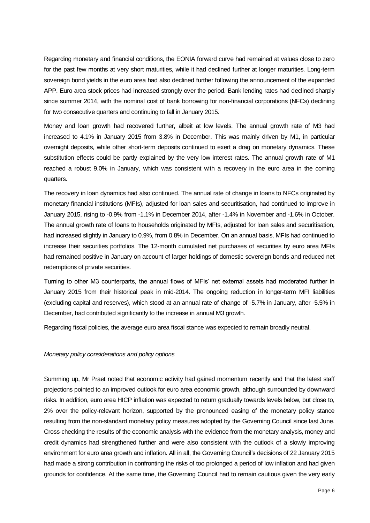Regarding monetary and financial conditions, the EONIA forward curve had remained at values close to zero for the past few months at very short maturities, while it had declined further at longer maturities. Long-term sovereign bond yields in the euro area had also declined further following the announcement of the expanded APP. Euro area stock prices had increased strongly over the period. Bank lending rates had declined sharply since summer 2014, with the nominal cost of bank borrowing for non-financial corporations (NFCs) declining for two consecutive quarters and continuing to fall in January 2015.

Money and loan growth had recovered further, albeit at low levels. The annual growth rate of M3 had increased to 4.1% in January 2015 from 3.8% in December. This was mainly driven by M1, in particular overnight deposits, while other short-term deposits continued to exert a drag on monetary dynamics. These substitution effects could be partly explained by the very low interest rates. The annual growth rate of M1 reached a robust 9.0% in January, which was consistent with a recovery in the euro area in the coming quarters.

The recovery in loan dynamics had also continued. The annual rate of change in loans to NFCs originated by monetary financial institutions (MFIs), adjusted for loan sales and securitisation, had continued to improve in January 2015, rising to -0.9% from -1.1% in December 2014, after -1.4% in November and -1.6% in October. The annual growth rate of loans to households originated by MFIs, adjusted for loan sales and securitisation, had increased slightly in January to 0.9%, from 0.8% in December. On an annual basis, MFIs had continued to increase their securities portfolios. The 12-month cumulated net purchases of securities by euro area MFIs had remained positive in January on account of larger holdings of domestic sovereign bonds and reduced net redemptions of private securities.

Turning to other M3 counterparts, the annual flows of MFIs' net external assets had moderated further in January 2015 from their historical peak in mid-2014. The ongoing reduction in longer-term MFI liabilities (excluding capital and reserves), which stood at an annual rate of change of -5.7% in January, after -5.5% in December, had contributed significantly to the increase in annual M3 growth.

Regarding fiscal policies, the average euro area fiscal stance was expected to remain broadly neutral.

# *Monetary policy considerations and policy options*

Summing up, Mr Praet noted that economic activity had gained momentum recently and that the latest staff projections pointed to an improved outlook for euro area economic growth, although surrounded by downward risks. In addition, euro area HICP inflation was expected to return gradually towards levels below, but close to, 2% over the policy-relevant horizon, supported by the pronounced easing of the monetary policy stance resulting from the non-standard monetary policy measures adopted by the Governing Council since last June. Cross-checking the results of the economic analysis with the evidence from the monetary analysis, money and credit dynamics had strengthened further and were also consistent with the outlook of a slowly improving environment for euro area growth and inflation. All in all, the Governing Council's decisions of 22 January 2015 had made a strong contribution in confronting the risks of too prolonged a period of low inflation and had given grounds for confidence. At the same time, the Governing Council had to remain cautious given the very early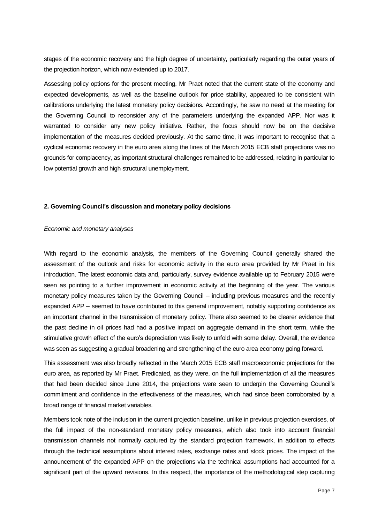stages of the economic recovery and the high degree of uncertainty, particularly regarding the outer years of the projection horizon, which now extended up to 2017.

Assessing policy options for the present meeting, Mr Praet noted that the current state of the economy and expected developments, as well as the baseline outlook for price stability, appeared to be consistent with calibrations underlying the latest monetary policy decisions. Accordingly, he saw no need at the meeting for the Governing Council to reconsider any of the parameters underlying the expanded APP. Nor was it warranted to consider any new policy initiative. Rather, the focus should now be on the decisive implementation of the measures decided previously. At the same time, it was important to recognise that a cyclical economic recovery in the euro area along the lines of the March 2015 ECB staff projections was no grounds for complacency, as important structural challenges remained to be addressed, relating in particular to low potential growth and high structural unemployment.

## **2. Governing Council's discussion and monetary policy decisions**

#### *Economic and monetary analyses*

With regard to the economic analysis, the members of the Governing Council generally shared the assessment of the outlook and risks for economic activity in the euro area provided by Mr Praet in his introduction. The latest economic data and, particularly, survey evidence available up to February 2015 were seen as pointing to a further improvement in economic activity at the beginning of the year. The various monetary policy measures taken by the Governing Council – including previous measures and the recently expanded APP – seemed to have contributed to this general improvement, notably supporting confidence as an important channel in the transmission of monetary policy. There also seemed to be clearer evidence that the past decline in oil prices had had a positive impact on aggregate demand in the short term, while the stimulative growth effect of the euro's depreciation was likely to unfold with some delay. Overall, the evidence was seen as suggesting a gradual broadening and strengthening of the euro area economy going forward.

This assessment was also broadly reflected in the March 2015 ECB staff macroeconomic projections for the euro area, as reported by Mr Praet. Predicated, as they were, on the full implementation of all the measures that had been decided since June 2014, the projections were seen to underpin the Governing Council's commitment and confidence in the effectiveness of the measures, which had since been corroborated by a broad range of financial market variables.

Members took note of the inclusion in the current projection baseline, unlike in previous projection exercises, of the full impact of the non-standard monetary policy measures, which also took into account financial transmission channels not normally captured by the standard projection framework, in addition to effects through the technical assumptions about interest rates, exchange rates and stock prices. The impact of the announcement of the expanded APP on the projections via the technical assumptions had accounted for a significant part of the upward revisions. In this respect, the importance of the methodological step capturing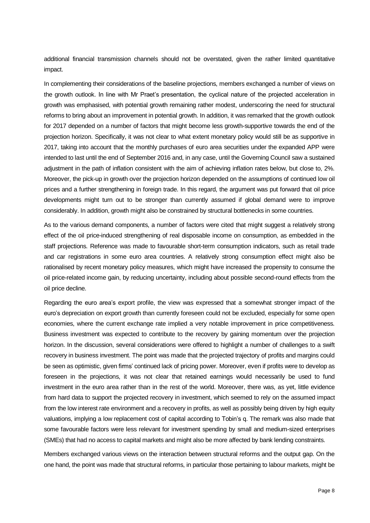additional financial transmission channels should not be overstated, given the rather limited quantitative impact.

In complementing their considerations of the baseline projections, members exchanged a number of views on the growth outlook. In line with Mr Praet's presentation, the cyclical nature of the projected acceleration in growth was emphasised, with potential growth remaining rather modest, underscoring the need for structural reforms to bring about an improvement in potential growth. In addition, it was remarked that the growth outlook for 2017 depended on a number of factors that might become less growth-supportive towards the end of the projection horizon. Specifically, it was not clear to what extent monetary policy would still be as supportive in 2017, taking into account that the monthly purchases of euro area securities under the expanded APP were intended to last until the end of September 2016 and, in any case, until the Governing Council saw a sustained adjustment in the path of inflation consistent with the aim of achieving inflation rates below, but close to, 2%. Moreover, the pick-up in growth over the projection horizon depended on the assumptions of continued low oil prices and a further strengthening in foreign trade. In this regard, the argument was put forward that oil price developments might turn out to be stronger than currently assumed if global demand were to improve considerably. In addition, growth might also be constrained by structural bottlenecks in some countries.

As to the various demand components, a number of factors were cited that might suggest a relatively strong effect of the oil price-induced strengthening of real disposable income on consumption, as embedded in the staff projections. Reference was made to favourable short-term consumption indicators, such as retail trade and car registrations in some euro area countries. A relatively strong consumption effect might also be rationalised by recent monetary policy measures, which might have increased the propensity to consume the oil price-related income gain, by reducing uncertainty, including about possible second-round effects from the oil price decline.

Regarding the euro area's export profile, the view was expressed that a somewhat stronger impact of the euro's depreciation on export growth than currently foreseen could not be excluded, especially for some open economies, where the current exchange rate implied a very notable improvement in price competitiveness. Business investment was expected to contribute to the recovery by gaining momentum over the projection horizon. In the discussion, several considerations were offered to highlight a number of challenges to a swift recovery in business investment. The point was made that the projected trajectory of profits and margins could be seen as optimistic, given firms' continued lack of pricing power. Moreover, even if profits were to develop as foreseen in the projections, it was not clear that retained earnings would necessarily be used to fund investment in the euro area rather than in the rest of the world. Moreover, there was, as yet, little evidence from hard data to support the projected recovery in investment, which seemed to rely on the assumed impact from the low interest rate environment and a recovery in profits, as well as possibly being driven by high equity valuations, implying a low replacement cost of capital according to Tobin's q. The remark was also made that some favourable factors were less relevant for investment spending by small and medium-sized enterprises (SMEs) that had no access to capital markets and might also be more affected by bank lending constraints.

Members exchanged various views on the interaction between structural reforms and the output gap. On the one hand, the point was made that structural reforms, in particular those pertaining to labour markets, might be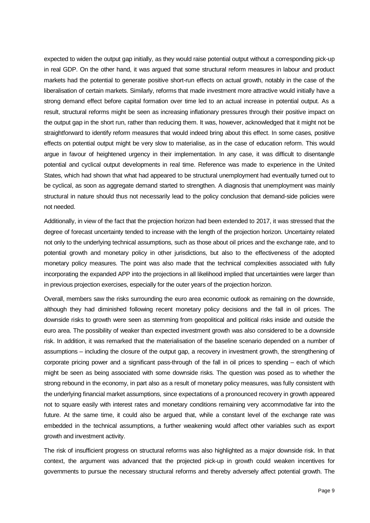expected to widen the output gap initially, as they would raise potential output without a corresponding pick-up in real GDP. On the other hand, it was argued that some structural reform measures in labour and product markets had the potential to generate positive short-run effects on actual growth, notably in the case of the liberalisation of certain markets. Similarly, reforms that made investment more attractive would initially have a strong demand effect before capital formation over time led to an actual increase in potential output. As a result, structural reforms might be seen as increasing inflationary pressures through their positive impact on the output gap in the short run, rather than reducing them. It was, however, acknowledged that it might not be straightforward to identify reform measures that would indeed bring about this effect. In some cases, positive effects on potential output might be very slow to materialise, as in the case of education reform. This would argue in favour of heightened urgency in their implementation. In any case, it was difficult to disentangle potential and cyclical output developments in real time. Reference was made to experience in the United States, which had shown that what had appeared to be structural unemployment had eventually turned out to be cyclical, as soon as aggregate demand started to strengthen. A diagnosis that unemployment was mainly structural in nature should thus not necessarily lead to the policy conclusion that demand-side policies were not needed.

Additionally, in view of the fact that the projection horizon had been extended to 2017, it was stressed that the degree of forecast uncertainty tended to increase with the length of the projection horizon. Uncertainty related not only to the underlying technical assumptions, such as those about oil prices and the exchange rate, and to potential growth and monetary policy in other jurisdictions, but also to the effectiveness of the adopted monetary policy measures. The point was also made that the technical complexities associated with fully incorporating the expanded APP into the projections in all likelihood implied that uncertainties were larger than in previous projection exercises, especially for the outer years of the projection horizon.

Overall, members saw the risks surrounding the euro area economic outlook as remaining on the downside, although they had diminished following recent monetary policy decisions and the fall in oil prices. The downside risks to growth were seen as stemming from geopolitical and political risks inside and outside the euro area. The possibility of weaker than expected investment growth was also considered to be a downside risk. In addition, it was remarked that the materialisation of the baseline scenario depended on a number of assumptions – including the closure of the output gap, a recovery in investment growth, the strengthening of corporate pricing power and a significant pass-through of the fall in oil prices to spending – each of which might be seen as being associated with some downside risks. The question was posed as to whether the strong rebound in the economy, in part also as a result of monetary policy measures, was fully consistent with the underlying financial market assumptions, since expectations of a pronounced recovery in growth appeared not to square easily with interest rates and monetary conditions remaining very accommodative far into the future. At the same time, it could also be argued that, while a constant level of the exchange rate was embedded in the technical assumptions, a further weakening would affect other variables such as export growth and investment activity.

The risk of insufficient progress on structural reforms was also highlighted as a major downside risk. In that context, the argument was advanced that the projected pick-up in growth could weaken incentives for governments to pursue the necessary structural reforms and thereby adversely affect potential growth. The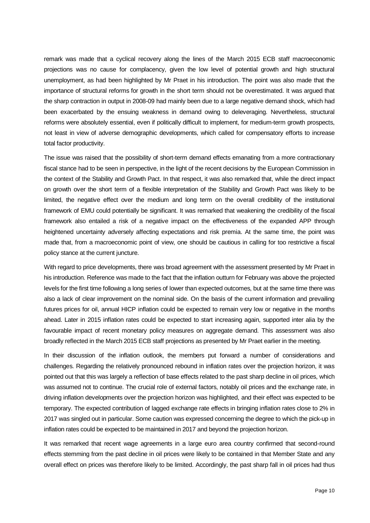remark was made that a cyclical recovery along the lines of the March 2015 ECB staff macroeconomic projections was no cause for complacency, given the low level of potential growth and high structural unemployment, as had been highlighted by Mr Praet in his introduction. The point was also made that the importance of structural reforms for growth in the short term should not be overestimated. It was argued that the sharp contraction in output in 2008-09 had mainly been due to a large negative demand shock, which had been exacerbated by the ensuing weakness in demand owing to deleveraging. Nevertheless, structural reforms were absolutely essential, even if politically difficult to implement, for medium-term growth prospects, not least in view of adverse demographic developments, which called for compensatory efforts to increase total factor productivity.

The issue was raised that the possibility of short-term demand effects emanating from a more contractionary fiscal stance had to be seen in perspective, in the light of the recent decisions by the European Commission in the context of the Stability and Growth Pact. In that respect, it was also remarked that, while the direct impact on growth over the short term of a flexible interpretation of the Stability and Growth Pact was likely to be limited, the negative effect over the medium and long term on the overall credibility of the institutional framework of EMU could potentially be significant. It was remarked that weakening the credibility of the fiscal framework also entailed a risk of a negative impact on the effectiveness of the expanded APP through heightened uncertainty adversely affecting expectations and risk premia. At the same time, the point was made that, from a macroeconomic point of view, one should be cautious in calling for too restrictive a fiscal policy stance at the current juncture.

With regard to price developments, there was broad agreement with the assessment presented by Mr Praet in his introduction. Reference was made to the fact that the inflation outturn for February was above the projected levels for the first time following a long series of lower than expected outcomes, but at the same time there was also a lack of clear improvement on the nominal side. On the basis of the current information and prevailing futures prices for oil, annual HICP inflation could be expected to remain very low or negative in the months ahead. Later in 2015 inflation rates could be expected to start increasing again, supported inter alia by the favourable impact of recent monetary policy measures on aggregate demand. This assessment was also broadly reflected in the March 2015 ECB staff projections as presented by Mr Praet earlier in the meeting.

In their discussion of the inflation outlook, the members put forward a number of considerations and challenges. Regarding the relatively pronounced rebound in inflation rates over the projection horizon, it was pointed out that this was largely a reflection of base effects related to the past sharp decline in oil prices, which was assumed not to continue. The crucial role of external factors, notably oil prices and the exchange rate, in driving inflation developments over the projection horizon was highlighted, and their effect was expected to be temporary. The expected contribution of lagged exchange rate effects in bringing inflation rates close to 2% in 2017 was singled out in particular. Some caution was expressed concerning the degree to which the pick-up in inflation rates could be expected to be maintained in 2017 and beyond the projection horizon.

It was remarked that recent wage agreements in a large euro area country confirmed that second-round effects stemming from the past decline in oil prices were likely to be contained in that Member State and any overall effect on prices was therefore likely to be limited. Accordingly, the past sharp fall in oil prices had thus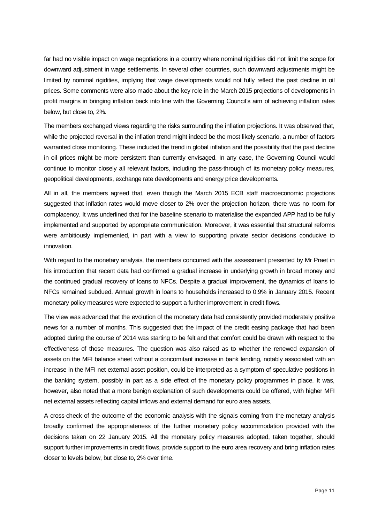far had no visible impact on wage negotiations in a country where nominal rigidities did not limit the scope for downward adjustment in wage settlements. In several other countries, such downward adjustments might be limited by nominal rigidities, implying that wage developments would not fully reflect the past decline in oil prices. Some comments were also made about the key role in the March 2015 projections of developments in profit margins in bringing inflation back into line with the Governing Council's aim of achieving inflation rates below, but close to, 2%.

The members exchanged views regarding the risks surrounding the inflation projections. It was observed that, while the projected reversal in the inflation trend might indeed be the most likely scenario, a number of factors warranted close monitoring. These included the trend in global inflation and the possibility that the past decline in oil prices might be more persistent than currently envisaged. In any case, the Governing Council would continue to monitor closely all relevant factors, including the pass-through of its monetary policy measures, geopolitical developments, exchange rate developments and energy price developments.

All in all, the members agreed that, even though the March 2015 ECB staff macroeconomic projections suggested that inflation rates would move closer to 2% over the projection horizon, there was no room for complacency. It was underlined that for the baseline scenario to materialise the expanded APP had to be fully implemented and supported by appropriate communication. Moreover, it was essential that structural reforms were ambitiously implemented, in part with a view to supporting private sector decisions conducive to innovation.

With regard to the monetary analysis, the members concurred with the assessment presented by Mr Praet in his introduction that recent data had confirmed a gradual increase in underlying growth in broad money and the continued gradual recovery of loans to NFCs. Despite a gradual improvement, the dynamics of loans to NFCs remained subdued. Annual growth in loans to households increased to 0.9% in January 2015. Recent monetary policy measures were expected to support a further improvement in credit flows.

The view was advanced that the evolution of the monetary data had consistently provided moderately positive news for a number of months. This suggested that the impact of the credit easing package that had been adopted during the course of 2014 was starting to be felt and that comfort could be drawn with respect to the effectiveness of those measures. The question was also raised as to whether the renewed expansion of assets on the MFI balance sheet without a concomitant increase in bank lending, notably associated with an increase in the MFI net external asset position, could be interpreted as a symptom of speculative positions in the banking system, possibly in part as a side effect of the monetary policy programmes in place. It was, however, also noted that a more benign explanation of such developments could be offered, with higher MFI net external assets reflecting capital inflows and external demand for euro area assets.

A cross-check of the outcome of the economic analysis with the signals coming from the monetary analysis broadly confirmed the appropriateness of the further monetary policy accommodation provided with the decisions taken on 22 January 2015. All the monetary policy measures adopted, taken together, should support further improvements in credit flows, provide support to the euro area recovery and bring inflation rates closer to levels below, but close to, 2% over time.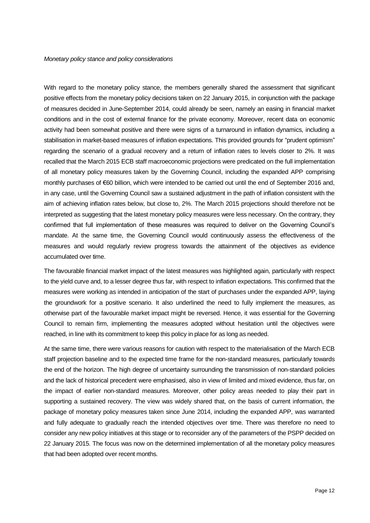With regard to the monetary policy stance, the members generally shared the assessment that significant positive effects from the monetary policy decisions taken on 22 January 2015, in conjunction with the package of measures decided in June-September 2014, could already be seen, namely an easing in financial market conditions and in the cost of external finance for the private economy. Moreover, recent data on economic activity had been somewhat positive and there were signs of a turnaround in inflation dynamics, including a stabilisation in market-based measures of inflation expectations. This provided grounds for "prudent optimism" regarding the scenario of a gradual recovery and a return of inflation rates to levels closer to 2%. It was recalled that the March 2015 ECB staff macroeconomic projections were predicated on the full implementation of all monetary policy measures taken by the Governing Council, including the expanded APP comprising monthly purchases of €60 billion, which were intended to be carried out until the end of September 2016 and, in any case, until the Governing Council saw a sustained adjustment in the path of inflation consistent with the aim of achieving inflation rates below, but close to, 2%. The March 2015 projections should therefore not be interpreted as suggesting that the latest monetary policy measures were less necessary. On the contrary, they confirmed that full implementation of these measures was required to deliver on the Governing Council's mandate. At the same time, the Governing Council would continuously assess the effectiveness of the measures and would regularly review progress towards the attainment of the objectives as evidence accumulated over time.

The favourable financial market impact of the latest measures was highlighted again, particularly with respect to the yield curve and, to a lesser degree thus far, with respect to inflation expectations. This confirmed that the measures were working as intended in anticipation of the start of purchases under the expanded APP, laying the groundwork for a positive scenario. It also underlined the need to fully implement the measures, as otherwise part of the favourable market impact might be reversed. Hence, it was essential for the Governing Council to remain firm, implementing the measures adopted without hesitation until the objectives were reached, in line with its commitment to keep this policy in place for as long as needed.

At the same time, there were various reasons for caution with respect to the materialisation of the March ECB staff projection baseline and to the expected time frame for the non-standard measures, particularly towards the end of the horizon. The high degree of uncertainty surrounding the transmission of non-standard policies and the lack of historical precedent were emphasised, also in view of limited and mixed evidence, thus far, on the impact of earlier non-standard measures. Moreover, other policy areas needed to play their part in supporting a sustained recovery. The view was widely shared that, on the basis of current information, the package of monetary policy measures taken since June 2014, including the expanded APP, was warranted and fully adequate to gradually reach the intended objectives over time. There was therefore no need to consider any new policy initiatives at this stage or to reconsider any of the parameters of the PSPP decided on 22 January 2015. The focus was now on the determined implementation of all the monetary policy measures that had been adopted over recent months.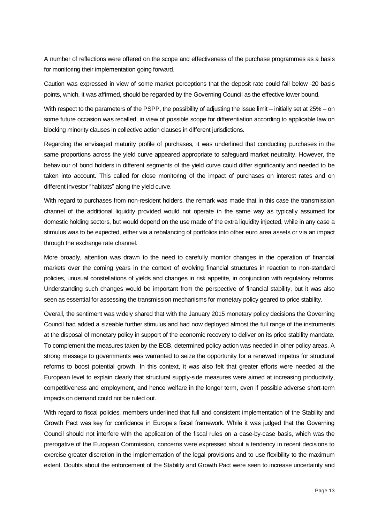A number of reflections were offered on the scope and effectiveness of the purchase programmes as a basis for monitoring their implementation going forward.

Caution was expressed in view of some market perceptions that the deposit rate could fall below -20 basis points, which, it was affirmed, should be regarded by the Governing Council as the effective lower bound.

With respect to the parameters of the PSPP, the possibility of adjusting the issue limit – initially set at 25% – on some future occasion was recalled, in view of possible scope for differentiation according to applicable law on blocking minority clauses in collective action clauses in different jurisdictions.

Regarding the envisaged maturity profile of purchases, it was underlined that conducting purchases in the same proportions across the yield curve appeared appropriate to safeguard market neutrality. However, the behaviour of bond holders in different segments of the yield curve could differ significantly and needed to be taken into account. This called for close monitoring of the impact of purchases on interest rates and on different investor "habitats" along the yield curve.

With regard to purchases from non-resident holders, the remark was made that in this case the transmission channel of the additional liquidity provided would not operate in the same way as typically assumed for domestic holding sectors, but would depend on the use made of the extra liquidity injected, while in any case a stimulus was to be expected, either via a rebalancing of portfolios into other euro area assets or via an impact through the exchange rate channel.

More broadly, attention was drawn to the need to carefully monitor changes in the operation of financial markets over the coming years in the context of evolving financial structures in reaction to non-standard policies, unusual constellations of yields and changes in risk appetite, in conjunction with regulatory reforms. Understanding such changes would be important from the perspective of financial stability, but it was also seen as essential for assessing the transmission mechanisms for monetary policy geared to price stability.

Overall, the sentiment was widely shared that with the January 2015 monetary policy decisions the Governing Council had added a sizeable further stimulus and had now deployed almost the full range of the instruments at the disposal of monetary policy in support of the economic recovery to deliver on its price stability mandate. To complement the measures taken by the ECB, determined policy action was needed in other policy areas. A strong message to governments was warranted to seize the opportunity for a renewed impetus for structural reforms to boost potential growth. In this context, it was also felt that greater efforts were needed at the European level to explain clearly that structural supply-side measures were aimed at increasing productivity, competitiveness and employment, and hence welfare in the longer term, even if possible adverse short-term impacts on demand could not be ruled out.

With regard to fiscal policies, members underlined that full and consistent implementation of the Stability and Growth Pact was key for confidence in Europe's fiscal framework. While it was judged that the Governing Council should not interfere with the application of the fiscal rules on a case-by-case basis, which was the prerogative of the European Commission, concerns were expressed about a tendency in recent decisions to exercise greater discretion in the implementation of the legal provisions and to use flexibility to the maximum extent. Doubts about the enforcement of the Stability and Growth Pact were seen to increase uncertainty and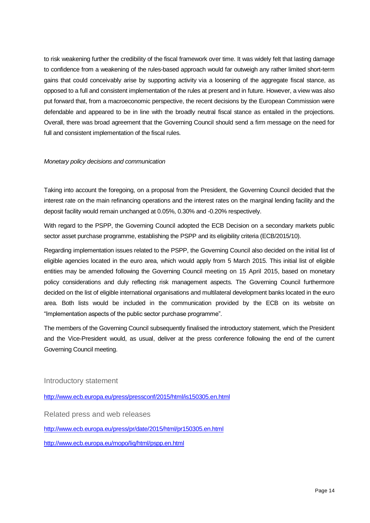to risk weakening further the credibility of the fiscal framework over time. It was widely felt that lasting damage to confidence from a weakening of the rules-based approach would far outweigh any rather limited short-term gains that could conceivably arise by supporting activity via a loosening of the aggregate fiscal stance, as opposed to a full and consistent implementation of the rules at present and in future. However, a view was also put forward that, from a macroeconomic perspective, the recent decisions by the European Commission were defendable and appeared to be in line with the broadly neutral fiscal stance as entailed in the projections. Overall, there was broad agreement that the Governing Council should send a firm message on the need for full and consistent implementation of the fiscal rules.

# *Monetary policy decisions and communication*

Taking into account the foregoing, on a proposal from the President, the Governing Council decided that the interest rate on the main refinancing operations and the interest rates on the marginal lending facility and the deposit facility would remain unchanged at 0.05%, 0.30% and -0.20% respectively.

With regard to the PSPP, the Governing Council adopted the ECB Decision on a secondary markets public sector asset purchase programme, establishing the PSPP and its eligibility criteria (ECB/2015/10).

Regarding implementation issues related to the PSPP, the Governing Council also decided on the initial list of eligible agencies located in the euro area, which would apply from 5 March 2015. This initial list of eligible entities may be amended following the Governing Council meeting on 15 April 2015, based on monetary policy considerations and duly reflecting risk management aspects. The Governing Council furthermore decided on the list of eligible international organisations and multilateral development banks located in the euro area. Both lists would be included in the communication provided by the ECB on its website on "Implementation aspects of the public sector purchase programme".

The members of the Governing Council subsequently finalised the introductory statement, which the President and the Vice-President would, as usual, deliver at the press conference following the end of the current Governing Council meeting.

Introductory statement

<http://www.ecb.europa.eu/press/pressconf/2015/html/is150305.en.html>

Related press and web releases

<http://www.ecb.europa.eu/press/pr/date/2015/html/pr150305.en.html>

<http://www.ecb.europa.eu/mopo/liq/html/pspp.en.html>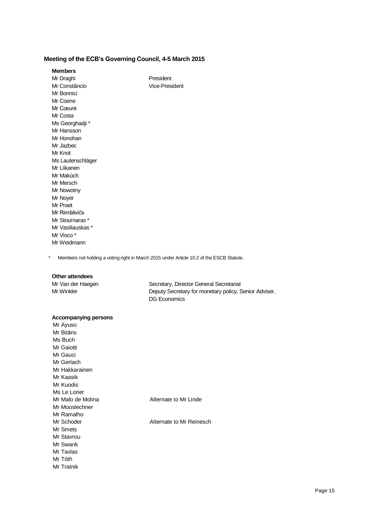# **Meeting of the ECB's Governing Council, 4-5 March 2015**

| <b>Members</b> |
|----------------|
|----------------|

Mr Draghi **President** Mr Constâncio Vice-President Mr Bonnici Mr Coene Mr Cœuré Mr Costa Ms Georghadji \* Mr Hansson Mr Honohan Mr Jazbec Mr Knot Ms Lautenschläger Mr Liikanen Mr Makúch Mr Mersch Mr Nowotny Mr Noyer Mr Praet Mr Rimšēvičs Mr Stournaras \* Mr Vasiliauskas \* Mr Visco \* Mr Weidmann

\* Members not holding a voting right in March 2015 under Article 10.2 of the ESCB Statute.

## **Other attendees**

Mr Van der Haegen Secretary, Director General Secretariat Mr Winkler **Deputy Secretary for monetary policy, Senior Adviser,** DG Economics

## **Accompanying persons**

| Mr Ayuso          |                          |
|-------------------|--------------------------|
| Mr Bitāns         |                          |
| Ms Buch           |                          |
| Mr Gaiotti        |                          |
| Mr Gauci          |                          |
| Mr Gerlach        |                          |
| Mr Hakkarainen    |                          |
| Mr Kaasik         |                          |
| Mr Kuodis         |                          |
| Ms Le Lorier      |                          |
| Mr Malo de Molina | Alternate to Mr Linde    |
| Mr Mooslechner    |                          |
| Mr Ramalho        |                          |
| Mr Schoder        | Alternate to Mr Reinesch |
| Mr Smets          |                          |
| Mr Stavrou        |                          |
| Mr Swank          |                          |
| Mr Tavlas         |                          |
| Mr Tóth           |                          |
| Mr Tratnik        |                          |